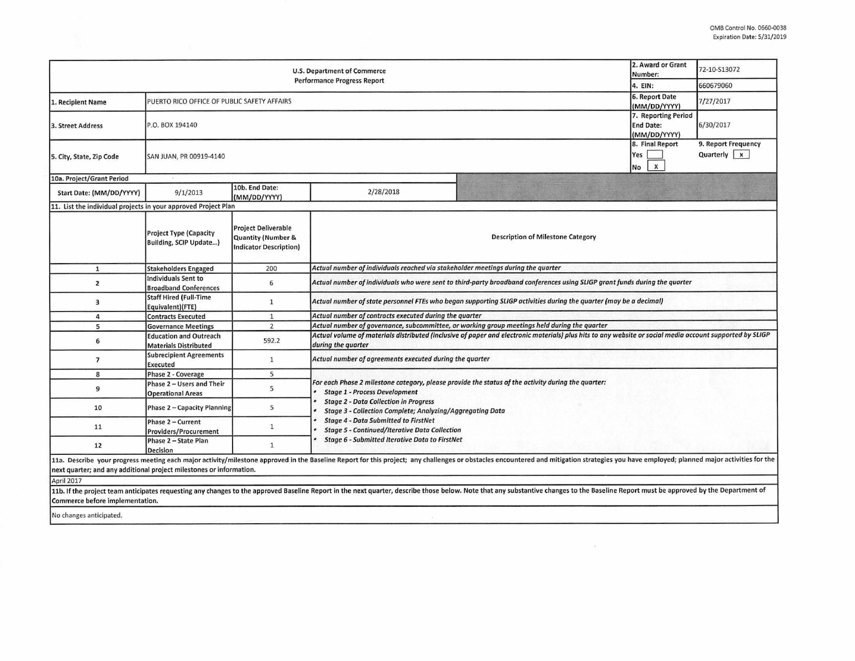| U.S. Department of Commerce<br><b>Performance Progress Report</b>                 |                                                                               |                                                                                              |                                                                                                                                                                                                                                                         |                                                                                                                                                                                                                                                                                                                                                                                                                                                                  | 2. Award or Grant<br>Number: | 72-10-S13072                         |  |  |  |
|-----------------------------------------------------------------------------------|-------------------------------------------------------------------------------|----------------------------------------------------------------------------------------------|---------------------------------------------------------------------------------------------------------------------------------------------------------------------------------------------------------------------------------------------------------|------------------------------------------------------------------------------------------------------------------------------------------------------------------------------------------------------------------------------------------------------------------------------------------------------------------------------------------------------------------------------------------------------------------------------------------------------------------|------------------------------|--------------------------------------|--|--|--|
| 4. EIN:                                                                           |                                                                               |                                                                                              |                                                                                                                                                                                                                                                         |                                                                                                                                                                                                                                                                                                                                                                                                                                                                  |                              | 660679060                            |  |  |  |
| 1. Recipient Name                                                                 | 6. Report Date<br>PUERTO RICO OFFICE OF PUBLIC SAFETY AFFAIRS<br>(MM/DD/YYYY) |                                                                                              |                                                                                                                                                                                                                                                         |                                                                                                                                                                                                                                                                                                                                                                                                                                                                  |                              | 7/27/2017                            |  |  |  |
| 3. Street Address                                                                 | 7. Reporting Period<br><b>End Date:</b><br>P.O. BOX 194140<br>(MM/DD/YYYY)    |                                                                                              |                                                                                                                                                                                                                                                         |                                                                                                                                                                                                                                                                                                                                                                                                                                                                  |                              | 6/30/2017                            |  |  |  |
| 5. City, State, Zip Code                                                          | 8. Final Report<br>SAN JUAN, PR 00919-4140                                    |                                                                                              |                                                                                                                                                                                                                                                         |                                                                                                                                                                                                                                                                                                                                                                                                                                                                  |                              | 9. Report Frequency<br>Quarterly   x |  |  |  |
| 10a. Project/Grant Period                                                         |                                                                               |                                                                                              |                                                                                                                                                                                                                                                         |                                                                                                                                                                                                                                                                                                                                                                                                                                                                  |                              |                                      |  |  |  |
| Start Date: (MM/DD/YYYY)                                                          | 9/1/2013                                                                      | 10b. End Date:<br>(MM/DD/YYYY)                                                               | 2/28/2018                                                                                                                                                                                                                                               |                                                                                                                                                                                                                                                                                                                                                                                                                                                                  |                              |                                      |  |  |  |
| 11. List the individual projects in your approved Project Plan                    |                                                                               |                                                                                              |                                                                                                                                                                                                                                                         |                                                                                                                                                                                                                                                                                                                                                                                                                                                                  |                              |                                      |  |  |  |
|                                                                                   | <b>Project Type (Capacity</b><br>Building, SCIP Update)                       | <b>Project Deliverable</b><br><b>Quantity (Number &amp;</b><br><b>Indicator Description)</b> | <b>Description of Milestone Category</b>                                                                                                                                                                                                                |                                                                                                                                                                                                                                                                                                                                                                                                                                                                  |                              |                                      |  |  |  |
| $\mathbf{1}$                                                                      | <b>Stakeholders Engaged</b>                                                   | 200                                                                                          | Actual number of individuals reached via stakeholder meetings during the quarter                                                                                                                                                                        |                                                                                                                                                                                                                                                                                                                                                                                                                                                                  |                              |                                      |  |  |  |
| $\overline{2}$                                                                    | Individuals Sent to<br><b>Broadband Conferences</b>                           | 6                                                                                            | Actual number of individuals who were sent to third-party broadband conferences using SLIGP grant funds during the quarter                                                                                                                              |                                                                                                                                                                                                                                                                                                                                                                                                                                                                  |                              |                                      |  |  |  |
| 3                                                                                 | <b>Staff Hired (Full-Time</b><br>Equivalent)(FTE)                             | $\mathbf{1}$                                                                                 | Actual number of state personnel FTEs who began supporting SLIGP activities during the quarter (may be a decimal)                                                                                                                                       |                                                                                                                                                                                                                                                                                                                                                                                                                                                                  |                              |                                      |  |  |  |
| 4                                                                                 | <b>Contracts Executed</b>                                                     | $\mathbf{1}$                                                                                 | Actual number of contracts executed during the quarter                                                                                                                                                                                                  |                                                                                                                                                                                                                                                                                                                                                                                                                                                                  |                              |                                      |  |  |  |
| 5                                                                                 | <b>Governance Meetings</b>                                                    | $\overline{2}$                                                                               | Actual number of governance, subcommittee, or working group meetings held during the quarter                                                                                                                                                            |                                                                                                                                                                                                                                                                                                                                                                                                                                                                  |                              |                                      |  |  |  |
| 6                                                                                 | <b>Education and Outreach</b><br><b>Materials Distributed</b>                 | 592.2                                                                                        | Actual volume of materials distributed (inclusive of paper and electronic materials) plus hits to any website or social media account supported by SLIGP<br>during the quarter                                                                          |                                                                                                                                                                                                                                                                                                                                                                                                                                                                  |                              |                                      |  |  |  |
| $\overline{7}$                                                                    | <b>Subrecipient Agreements</b><br><b>Executed</b>                             | $\mathbf{1}$                                                                                 | Actual number of agreements executed during the quarter                                                                                                                                                                                                 |                                                                                                                                                                                                                                                                                                                                                                                                                                                                  |                              |                                      |  |  |  |
| 8                                                                                 | Phase 2 - Coverage                                                            | 5                                                                                            |                                                                                                                                                                                                                                                         |                                                                                                                                                                                                                                                                                                                                                                                                                                                                  |                              |                                      |  |  |  |
| 9                                                                                 | Phase 2 - Users and Their<br><b>Operational Areas</b>                         | 5                                                                                            | For each Phase 2 milestone category, please provide the status of the activity during the quarter:<br><b>Stage 1 - Process Development</b><br><b>Stage 2 - Data Collection in Progress</b><br>Stage 3 - Collection Complete; Analyzing/Aggregating Data |                                                                                                                                                                                                                                                                                                                                                                                                                                                                  |                              |                                      |  |  |  |
| 10                                                                                | Phase 2 - Capacity Planning                                                   | 5                                                                                            |                                                                                                                                                                                                                                                         |                                                                                                                                                                                                                                                                                                                                                                                                                                                                  |                              |                                      |  |  |  |
| 11                                                                                | Phase 2 - Current<br>Providers/Procurement                                    | $\mathbf{1}$                                                                                 | <b>Stage 4 - Data Submitted to FirstNet</b><br><b>Stage 5 - Continued/Iterative Data Collection</b><br><b>Stage 6 - Submitted Iterative Data to FirstNet</b>                                                                                            |                                                                                                                                                                                                                                                                                                                                                                                                                                                                  |                              |                                      |  |  |  |
| 12                                                                                | Phase 2 - State Plan<br>Decision                                              | $\mathbf{1}$                                                                                 |                                                                                                                                                                                                                                                         |                                                                                                                                                                                                                                                                                                                                                                                                                                                                  |                              |                                      |  |  |  |
| next quarter; and any additional project milestones or information.<br>April 2017 |                                                                               |                                                                                              |                                                                                                                                                                                                                                                         | 11a. Describe your progress meeting each major activity/milestone approved in the Baseline Report for this project; any challenges or obstacles encountered and mitigation strategies you have employed; planned major activit<br>11b. If the project team anticipates requesting any changes to the approved Baseline Report in the next quarter, describe those below. Note that any substantive changes to the Baseline Report must be approved by the Depart |                              |                                      |  |  |  |

 $\sim 10^{-11}$ 

**Commerce before implementation.** 

No changes anticipated.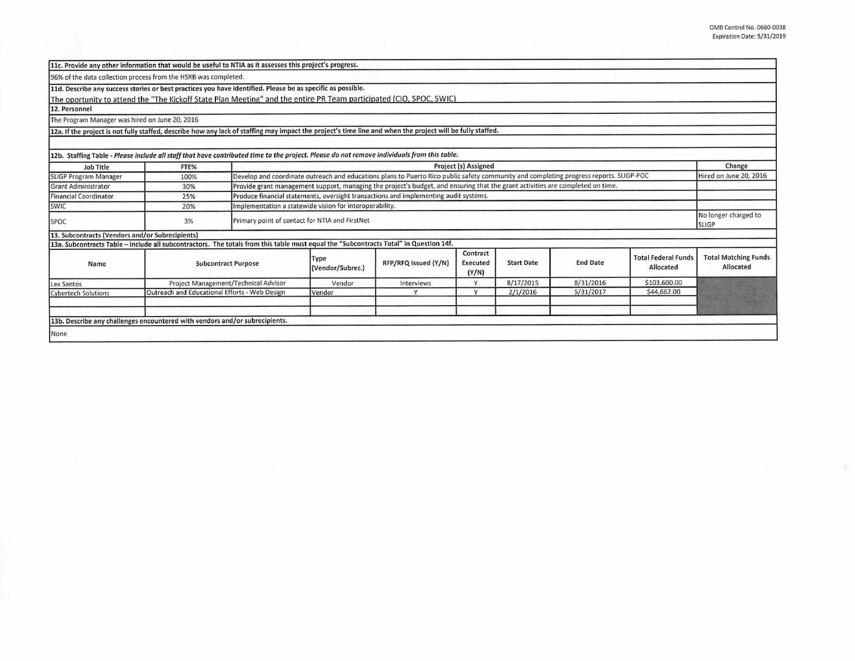|                                                 | 11c. Provide any other information that would be useful to NTIA as it assesses this project's progress.                                                    |                                                                                                                                        |                          |                      |                               |                   |                 |                                         |                                          |  |  |
|-------------------------------------------------|------------------------------------------------------------------------------------------------------------------------------------------------------------|----------------------------------------------------------------------------------------------------------------------------------------|--------------------------|----------------------|-------------------------------|-------------------|-----------------|-----------------------------------------|------------------------------------------|--|--|
|                                                 | 96% of the data collection process from the HSRB was completed.                                                                                            |                                                                                                                                        |                          |                      |                               |                   |                 |                                         |                                          |  |  |
|                                                 | 11d. Describe any success stories or best practices you have identified. Please be as specific as possible.                                                |                                                                                                                                        |                          |                      |                               |                   |                 |                                         |                                          |  |  |
|                                                 | The oportunity to attend the "The Kickoff State Plan Meeting" and the entire PR Team participated (CIO, SPOC, SWIC)                                        |                                                                                                                                        |                          |                      |                               |                   |                 |                                         |                                          |  |  |
| 12. Personnel                                   |                                                                                                                                                            |                                                                                                                                        |                          |                      |                               |                   |                 |                                         |                                          |  |  |
| The Program Manager was hired on June 20, 2016  |                                                                                                                                                            |                                                                                                                                        |                          |                      |                               |                   |                 |                                         |                                          |  |  |
|                                                 | 12a. If the project is not fully staffed, describe how any lack of staffing may impact the project's time line and when the project will be fully staffed. |                                                                                                                                        |                          |                      |                               |                   |                 |                                         |                                          |  |  |
|                                                 |                                                                                                                                                            |                                                                                                                                        |                          |                      |                               |                   |                 |                                         |                                          |  |  |
|                                                 | 12b. Staffing Table - Please include all staff that have contributed time to the project. Please do not remove individuals from this table.                |                                                                                                                                        |                          |                      |                               |                   |                 |                                         |                                          |  |  |
| Job Title                                       | FTE%                                                                                                                                                       | Project (s) Assigned                                                                                                                   |                          |                      |                               |                   |                 |                                         | Change                                   |  |  |
| SLIGP Program Manager                           | 100%                                                                                                                                                       | Develop and coordinate outreach and educations plans to Puerto Rico public safety community and completing progress reports. SLIGP-POC |                          |                      |                               |                   |                 | Hired on June 20, 2016                  |                                          |  |  |
| <b>Grant Administrator</b>                      | 30%                                                                                                                                                        | Provide grant management support, managing the project's budget, and ensuring that the grant activities are completed on time.         |                          |                      |                               |                   |                 |                                         |                                          |  |  |
| <b>Financial Coordinator</b>                    | 25%                                                                                                                                                        | Produce financial statements, oversight transactions and implementing audit systems.                                                   |                          |                      |                               |                   |                 |                                         |                                          |  |  |
| SWIC                                            | 20%                                                                                                                                                        | Implementation a statewide vision for interoperability.                                                                                |                          |                      |                               |                   |                 |                                         |                                          |  |  |
| <b>SPOC</b>                                     | 3%                                                                                                                                                         | Primary point of contact for NTIA and FirstNet                                                                                         |                          |                      |                               |                   |                 | No longer charged to<br><b>SLIGP</b>    |                                          |  |  |
| 13. Subcontracts (Vendors and/or Subrecipients) |                                                                                                                                                            |                                                                                                                                        |                          |                      |                               |                   |                 |                                         |                                          |  |  |
|                                                 | 13a. Subcontracts Table - Include all subcontractors. The totals from this table must equal the "Subcontracts Total" in Question 14f.                      |                                                                                                                                        |                          |                      |                               |                   |                 |                                         |                                          |  |  |
| Name                                            | <b>Subcontract Purpose</b>                                                                                                                                 |                                                                                                                                        | Type<br>(Vendor/Subrec.) | RFP/RFQ Issued (Y/N) | Contract<br>Executed<br>(Y/N) | <b>Start Date</b> | <b>End Date</b> | <b>Total Federal Funds</b><br>Allocated | <b>Total Matching Funds</b><br>Allocated |  |  |
| Lex Santos                                      | Project Management/Technical Advisor                                                                                                                       |                                                                                                                                        | Vendor                   | Interviews           | $\vee$                        | 8/17/2015         | 8/31/2016       | \$103,600.00                            |                                          |  |  |
| <b>Cybertech Solutions</b>                      | Outreach and Educational Efforts - Web Design                                                                                                              |                                                                                                                                        | Vendor                   | Y                    | Y                             | 2/1/2016          | 5/31/2017       | \$44,662.00                             |                                          |  |  |
|                                                 |                                                                                                                                                            |                                                                                                                                        |                          |                      |                               |                   |                 |                                         |                                          |  |  |
|                                                 |                                                                                                                                                            |                                                                                                                                        |                          |                      |                               |                   |                 |                                         |                                          |  |  |
|                                                 | 13b. Describe any challenges encountered with vendors and/or subrecipients.                                                                                |                                                                                                                                        |                          |                      |                               |                   |                 |                                         |                                          |  |  |
| None                                            |                                                                                                                                                            |                                                                                                                                        |                          |                      |                               |                   |                 |                                         |                                          |  |  |
|                                                 |                                                                                                                                                            |                                                                                                                                        |                          |                      |                               |                   |                 |                                         |                                          |  |  |